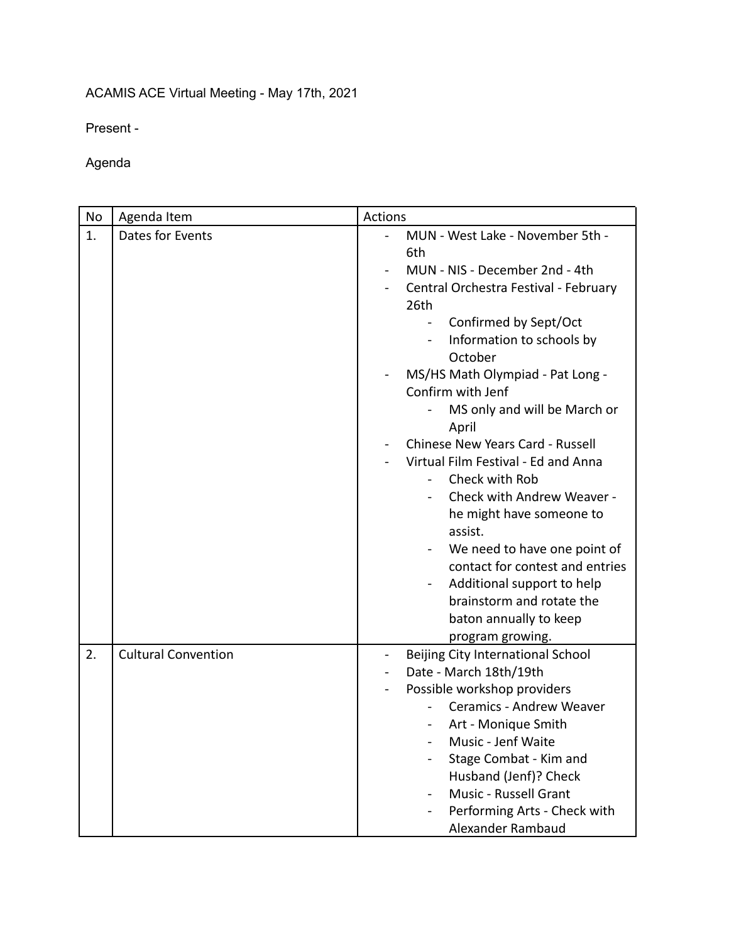## ACAMIS ACE Virtual Meeting - May 17th, 2021

Present -

Agenda

| No | Agenda Item                | <b>Actions</b>                                                                                                                                                                                                                                                                                                                                                                                                                                                                                                                                                                                                                                                |
|----|----------------------------|---------------------------------------------------------------------------------------------------------------------------------------------------------------------------------------------------------------------------------------------------------------------------------------------------------------------------------------------------------------------------------------------------------------------------------------------------------------------------------------------------------------------------------------------------------------------------------------------------------------------------------------------------------------|
| 1. | Dates for Events           | MUN - West Lake - November 5th -<br>6th<br>MUN - NIS - December 2nd - 4th<br>Central Orchestra Festival - February<br>26th<br>Confirmed by Sept/Oct<br>Information to schools by<br>$\blacksquare$<br>October<br>MS/HS Math Olympiad - Pat Long -<br>Confirm with Jenf<br>MS only and will be March or<br>April<br>Chinese New Years Card - Russell<br>Virtual Film Festival - Ed and Anna<br>Check with Rob<br>Check with Andrew Weaver -<br>he might have someone to<br>assist.<br>We need to have one point of<br>contact for contest and entries<br>Additional support to help<br>brainstorm and rotate the<br>baton annually to keep<br>program growing. |
| 2. | <b>Cultural Convention</b> | Beijing City International School<br>$\blacksquare$<br>Date - March 18th/19th<br>Possible workshop providers<br>Ceramics - Andrew Weaver<br>Art - Monique Smith<br>Music - Jenf Waite<br>Stage Combat - Kim and<br>Husband (Jenf)? Check<br>Music - Russell Grant<br>Performing Arts - Check with<br>Alexander Rambaud                                                                                                                                                                                                                                                                                                                                        |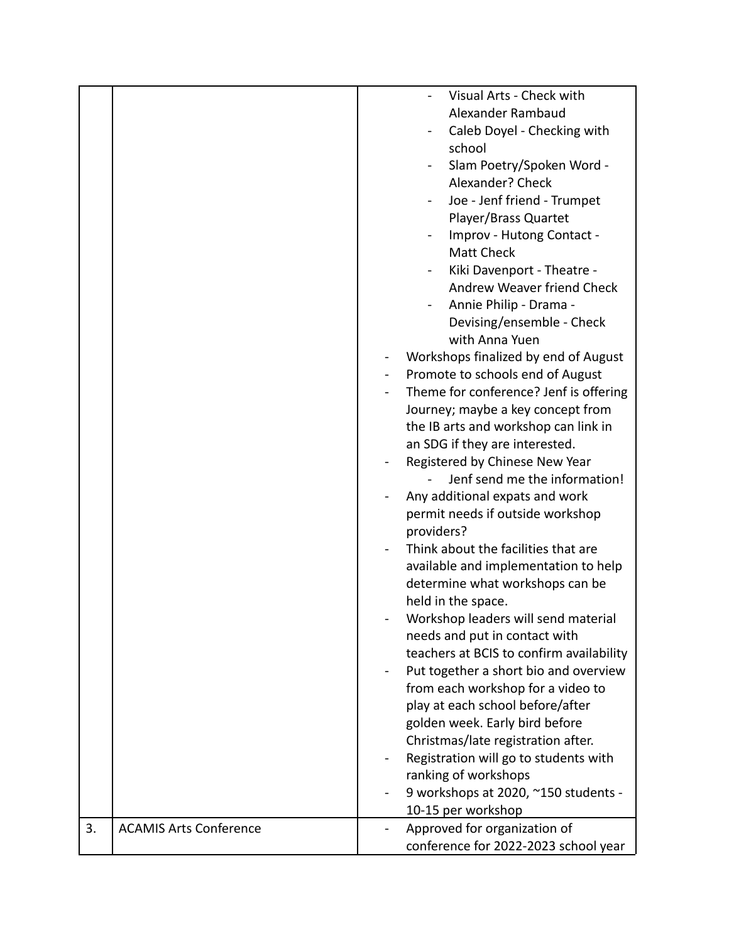|    |                               | Visual Arts - Check with                 |
|----|-------------------------------|------------------------------------------|
|    |                               | Alexander Rambaud                        |
|    |                               |                                          |
|    |                               | Caleb Doyel - Checking with              |
|    |                               | school                                   |
|    |                               | Slam Poetry/Spoken Word -                |
|    |                               | Alexander? Check                         |
|    |                               | Joe - Jenf friend - Trumpet              |
|    |                               | Player/Brass Quartet                     |
|    |                               | Improv - Hutong Contact -                |
|    |                               | <b>Matt Check</b>                        |
|    |                               | Kiki Davenport - Theatre -               |
|    |                               | Andrew Weaver friend Check               |
|    |                               | Annie Philip - Drama -                   |
|    |                               | Devising/ensemble - Check                |
|    |                               | with Anna Yuen                           |
|    |                               | Workshops finalized by end of August     |
|    |                               | Promote to schools end of August         |
|    |                               | Theme for conference? Jenf is offering   |
|    |                               | Journey; maybe a key concept from        |
|    |                               | the IB arts and workshop can link in     |
|    |                               | an SDG if they are interested.           |
|    |                               | Registered by Chinese New Year           |
|    |                               | Jenf send me the information!            |
|    |                               | Any additional expats and work           |
|    |                               | permit needs if outside workshop         |
|    |                               | providers?                               |
|    |                               | Think about the facilities that are      |
|    |                               | available and implementation to help     |
|    |                               |                                          |
|    |                               | determine what workshops can be          |
|    |                               | held in the space.                       |
|    |                               | Workshop leaders will send material      |
|    |                               | needs and put in contact with            |
|    |                               | teachers at BCIS to confirm availability |
|    |                               | Put together a short bio and overview    |
|    |                               | from each workshop for a video to        |
|    |                               | play at each school before/after         |
|    |                               | golden week. Early bird before           |
|    |                               | Christmas/late registration after.       |
|    |                               | Registration will go to students with    |
|    |                               | ranking of workshops                     |
|    |                               | 9 workshops at 2020, ~150 students -     |
|    |                               | 10-15 per workshop                       |
| 3. | <b>ACAMIS Arts Conference</b> | Approved for organization of             |
|    |                               | conference for 2022-2023 school year     |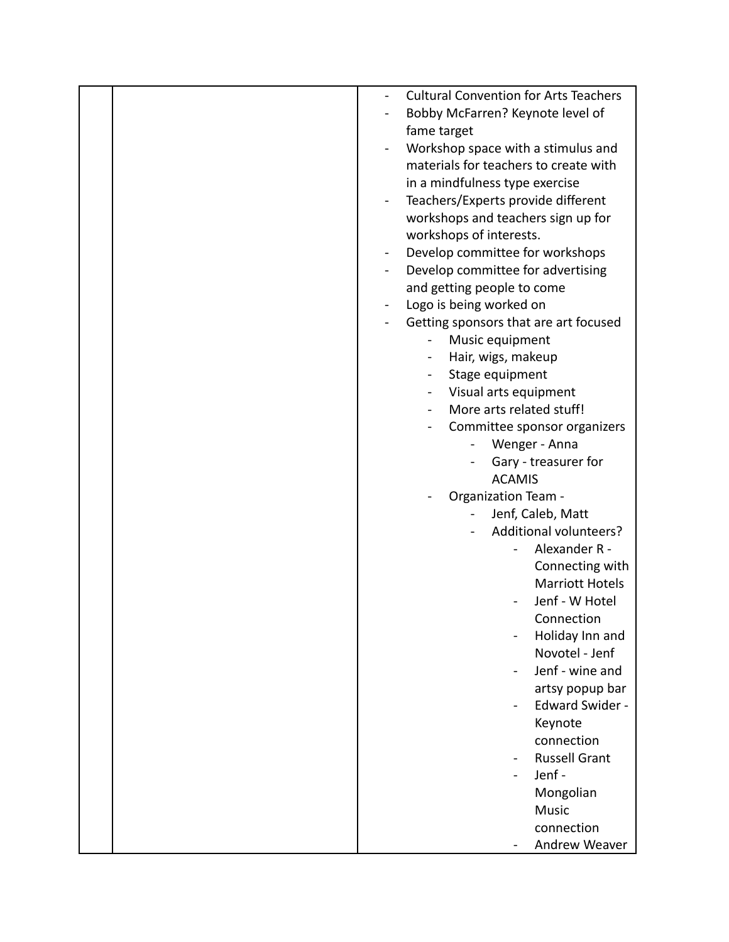|  | <b>Cultural Convention for Arts Teachers</b> |
|--|----------------------------------------------|
|  | Bobby McFarren? Keynote level of             |
|  |                                              |
|  | fame target                                  |
|  | Workshop space with a stimulus and           |
|  | materials for teachers to create with        |
|  | in a mindfulness type exercise               |
|  | Teachers/Experts provide different           |
|  | workshops and teachers sign up for           |
|  | workshops of interests.                      |
|  | Develop committee for workshops              |
|  | Develop committee for advertising            |
|  | and getting people to come                   |
|  | Logo is being worked on                      |
|  | Getting sponsors that are art focused        |
|  | Music equipment                              |
|  | Hair, wigs, makeup                           |
|  | Stage equipment                              |
|  | Visual arts equipment                        |
|  | More arts related stuff!                     |
|  | Committee sponsor organizers                 |
|  | Wenger - Anna                                |
|  | Gary - treasurer for                         |
|  | <b>ACAMIS</b>                                |
|  | <b>Organization Team -</b>                   |
|  | Jenf, Caleb, Matt                            |
|  | Additional volunteers?                       |
|  | Alexander R -                                |
|  | Connecting with                              |
|  | <b>Marriott Hotels</b>                       |
|  | Jenf - W Hotel                               |
|  | Connection                                   |
|  | Holiday Inn and                              |
|  | Novotel - Jenf                               |
|  | Jenf - wine and                              |
|  | artsy popup bar                              |
|  | <b>Edward Swider -</b>                       |
|  | Keynote                                      |
|  | connection                                   |
|  | <b>Russell Grant</b>                         |
|  | Jenf-                                        |
|  | Mongolian                                    |
|  | <b>Music</b>                                 |
|  | connection                                   |
|  | Andrew Weaver                                |